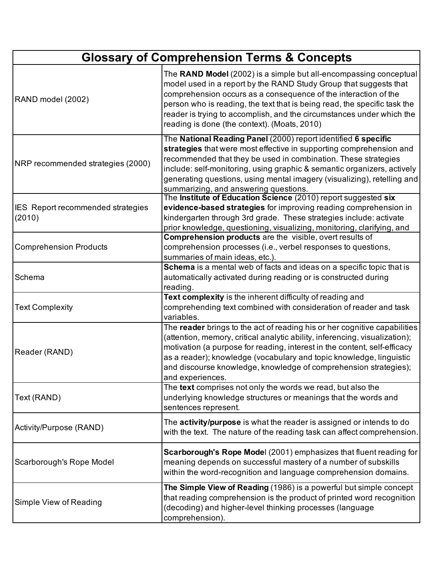| <b>Glossary of Comprehension Terms &amp; Concepts</b> |                                                                                                                                                                                                                                                                                                                                                                                                                 |
|-------------------------------------------------------|-----------------------------------------------------------------------------------------------------------------------------------------------------------------------------------------------------------------------------------------------------------------------------------------------------------------------------------------------------------------------------------------------------------------|
| RAND model (2002)                                     | The RAND Model (2002) is a simple but all-encompassing conceptual<br>model used in a report by the RAND Study Group that suggests that<br>comprehension occurs as a consequence of the interaction of the<br>person who is reading, the text that is being read, the specific task the<br>reader is trying to accomplish, and the circumstances under which the<br>reading is done (the context). (Moats, 2010) |
| NRP recommended strategies (2000)                     | The National Reading Panel (2000) report identified 6 specific<br>strategies that were most effective in supporting comprehension and<br>recommended that they be used in combination. These strategies<br>include: self-monitoring, using graphic & semantic organizers, actively<br>generating questions, using mental imagery (visualizing), retelling and<br>summarizing, and answering questions.          |
| <b>IES</b> Report recommended strategies<br>(2010)    | The Institute of Education Science (2010) report suggested six<br>evidence-based strategies for improving reading comprehension in<br>kindergarten through 3rd grade. These strategies include: activate<br>prior knowledge, questioning, visualizing, monitoring, clarifying, and                                                                                                                              |
| <b>Comprehension Products</b>                         | Comprehension products are the visible, overt results of<br>comprehension processes (i.e., verbel responses to questions,<br>summaries of main ideas, etc.).                                                                                                                                                                                                                                                    |
| Schema                                                | Schema is a mental web of facts and ideas on a specific topic that is<br>automatically activated during reading or is constructed during<br>reading.                                                                                                                                                                                                                                                            |
| <b>Text Complexity</b>                                | Text complexity is the inherent difficulty of reading and<br>comprehending text combined with consideration of reader and task<br>variables.                                                                                                                                                                                                                                                                    |
| Reader (RAND)                                         | The reader brings to the act of reading his or her cognitive capabilities<br>(attention, memory, critical analytic ability, inferencing, visualization);<br>motivation (a purpose for reading, interest in the content, self-efficacy<br>as a reader); knowledge (vocabulary and topic knowledge, linguistic<br>and discourse knowledge, knowledge of comprehension strategies);<br>and experiences.            |
| Text (RAND)                                           | The text comprises not only the words we read, but also the<br>underlying knowledge structures or meanings that the words and<br>sentences represent.                                                                                                                                                                                                                                                           |
| Activity/Purpose (RAND)                               | The activity/purpose is what the reader is assigned or intends to do<br>with the text. The nature of the reading task can affect comprehension.                                                                                                                                                                                                                                                                 |
| Scarborough's Rope Model                              | Scarborough's Rope Model (2001) emphasizes that fluent reading for<br>meaning depends on successful mastery of a number of subskills<br>within the word-recognition and language comprehension domains.                                                                                                                                                                                                         |
| Simple View of Reading                                | The Simple View of Reading (1986) is a powerful but simple concept<br>that reading comprehension is the product of printed word recognition<br>(decoding) and higher-level thinking processes (language<br>comprehension).                                                                                                                                                                                      |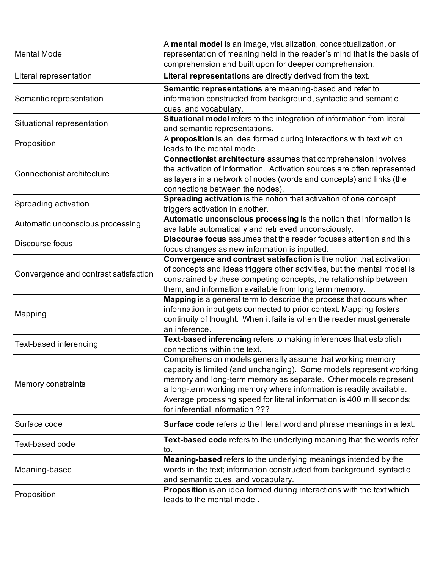| <b>Mental Model</b>                   | A mental model is an image, visualization, conceptualization, or<br>representation of meaning held in the reader's mind that is the basis of<br>comprehension and built upon for deeper comprehension.                                                                                                                                                                                |
|---------------------------------------|---------------------------------------------------------------------------------------------------------------------------------------------------------------------------------------------------------------------------------------------------------------------------------------------------------------------------------------------------------------------------------------|
| Literal representation                | Literal representations are directly derived from the text.                                                                                                                                                                                                                                                                                                                           |
| Semantic representation               | Semantic representations are meaning-based and refer to<br>information constructed from background, syntactic and semantic<br>cues, and vocabulary.                                                                                                                                                                                                                                   |
| Situational representation            | Situational model refers to the integration of information from literal<br>and semantic representations.                                                                                                                                                                                                                                                                              |
| Proposition                           | A proposition is an idea formed during interactions with text which<br>leads to the mental model.                                                                                                                                                                                                                                                                                     |
| Connectionist architecture            | Connectionist architecture assumes that comprehension involves<br>the activation of information. Activation sources are often represented<br>as layers in a network of nodes (words and concepts) and links (the<br>connections between the nodes).                                                                                                                                   |
| Spreading activation                  | Spreading activation is the notion that activation of one concept<br>triggers activation in another.                                                                                                                                                                                                                                                                                  |
| Automatic unconscious processing      | Automatic unconscious processing is the notion that information is<br>available automatically and retrieved unconsciously.                                                                                                                                                                                                                                                            |
| Discourse focus                       | Discourse focus assumes that the reader focuses attention and this<br>focus changes as new information is inputted.                                                                                                                                                                                                                                                                   |
| Convergence and contrast satisfaction | Convergence and contrast satisfaction is the notion that activation<br>of concepts and ideas triggers other activities, but the mental model is<br>constrained by these competing concepts, the relationship between<br>them, and information available from long term memory.                                                                                                        |
| Mapping                               | Mapping is a general term to describe the process that occurs when<br>information input gets connected to prior context. Mapping fosters<br>continuity of thought. When it fails is when the reader must generate<br>an inference.                                                                                                                                                    |
| Text-based inferencing                | Text-based inferencing refers to making inferences that establish<br>connections within the text.                                                                                                                                                                                                                                                                                     |
| Memory constraints                    | Comprehension models generally assume that working memory<br>capacity is limited (and unchanging). Some models represent working<br>memory and long-term memory as separate. Other models represent<br>a long-term working memory where information is readily available.<br>Average processing speed for literal information is 400 milliseconds;<br>for inferential information ??? |
| Surface code                          | Surface code refers to the literal word and phrase meanings in a text.                                                                                                                                                                                                                                                                                                                |
| Text-based code                       | Text-based code refers to the underlying meaning that the words refer<br>to.                                                                                                                                                                                                                                                                                                          |
| Meaning-based                         | Meaning-based refers to the underlying meanings intended by the<br>words in the text; information constructed from background, syntactic<br>and semantic cues, and vocabulary.                                                                                                                                                                                                        |
| Proposition                           | Proposition is an idea formed during interactions with the text which<br>leads to the mental model.                                                                                                                                                                                                                                                                                   |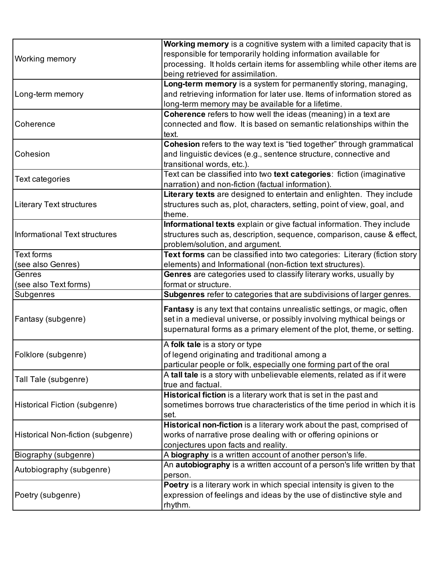|                                   | Working memory is a cognitive system with a limited capacity that is      |
|-----------------------------------|---------------------------------------------------------------------------|
| <b>Working memory</b>             | responsible for temporarily holding information available for             |
|                                   | processing. It holds certain items for assembling while other items are   |
|                                   | being retrieved for assimilation.                                         |
|                                   | Long-term memory is a system for permanently storing, managing,           |
| Long-term memory                  | and retrieving information for later use. Items of information stored as  |
|                                   | long-term memory may be available for a lifetime.                         |
|                                   | Coherence refers to how well the ideas (meaning) in a text are            |
| Coherence                         | connected and flow. It is based on semantic relationships within the      |
|                                   | text.                                                                     |
|                                   | Cohesion refers to the way text is "tied together" through grammatical    |
| Cohesion                          | and linguistic devices (e.g., sentence structure, connective and          |
|                                   | transitional words, etc.).                                                |
|                                   | Text can be classified into two text categories: fiction (imaginative     |
| <b>Text categories</b>            | narration) and non-fiction (factual information).                         |
|                                   | Literary texts are designed to entertain and enlighten. They include      |
| <b>Literary Text structures</b>   | structures such as, plot, characters, setting, point of view, goal, and   |
|                                   | theme.                                                                    |
|                                   | Informational texts explain or give factual information. They include     |
| Informational Text structures     | structures such as, description, sequence, comparison, cause & effect,    |
|                                   | problem/solution, and argument.                                           |
| <b>Text forms</b>                 | Text forms can be classified into two categories: Literary (fiction story |
| (see also Genres)                 | elements) and Informational (non-fiction text structures).                |
| Genres                            | Genres are categories used to classify literary works, usually by         |
| (see also Text forms)             | format or structure.                                                      |
| Subgenres                         | Subgenres refer to categories that are subdivisions of larger genres.     |
|                                   |                                                                           |
|                                   | Fantasy is any text that contains unrealistic settings, or magic, often   |
| Fantasy (subgenre)                | set in a medieval universe, or possibly involving mythical beings or      |
|                                   | supernatural forms as a primary element of the plot, theme, or setting.   |
|                                   | A folk tale is a story or type                                            |
| Folklore (subgenre)               | of legend originating and traditional among a                             |
|                                   | particular people or folk, especially one forming part of the oral        |
|                                   | A tall tale is a story with unbelievable elements, related as if it were  |
| Tall Tale (subgenre)              | true and factual.                                                         |
|                                   | Historical fiction is a literary work that is set in the past and         |
| Historical Fiction (subgenre)     | sometimes borrows true characteristics of the time period in which it is  |
|                                   | set.                                                                      |
|                                   | Historical non-fiction is a literary work about the past, comprised of    |
| Historical Non-fiction (subgenre) | works of narrative prose dealing with or offering opinions or             |
|                                   | conjectures upon facts and reality.                                       |
| Biography (subgenre)              | A biography is a written account of another person's life.                |
|                                   | An autobiography is a written account of a person's life written by that  |
| Autobiography (subgenre)          | person.                                                                   |
|                                   | Poetry is a literary work in which special intensity is given to the      |
| Poetry (subgenre)                 | expression of feelings and ideas by the use of distinctive style and      |
|                                   | rhythm.                                                                   |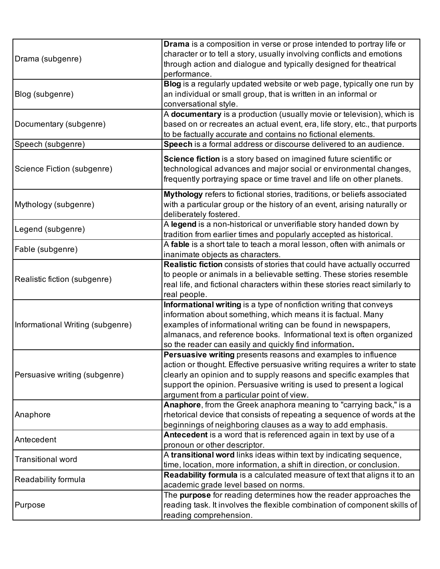| Drama (subgenre)                 | Drama is a composition in verse or prose intended to portray life or<br>character or to tell a story, usually involving conflicts and emotions<br>through action and dialogue and typically designed for theatrical<br>performance.                                                                                                     |
|----------------------------------|-----------------------------------------------------------------------------------------------------------------------------------------------------------------------------------------------------------------------------------------------------------------------------------------------------------------------------------------|
| Blog (subgenre)                  | Blog is a regularly updated website or web page, typically one run by<br>an individual or small group, that is written in an informal or<br>conversational style.                                                                                                                                                                       |
| Documentary (subgenre)           | A documentary is a production (usually movie or television), which is<br>based on or recreates an actual event, era, life story, etc., that purports<br>to be factually accurate and contains no fictional elements.                                                                                                                    |
| Speech (subgenre)                | Speech is a formal address or discourse delivered to an audience.                                                                                                                                                                                                                                                                       |
| Science Fiction (subgenre)       | Science fiction is a story based on imagined future scientific or<br>technological advances and major social or environmental changes,<br>frequently portraying space or time travel and life on other planets.                                                                                                                         |
| Mythology (subgenre)             | Mythology refers to fictional stories, traditions, or beliefs associated<br>with a particular group or the history of an event, arising naturally or<br>deliberately fostered.                                                                                                                                                          |
| Legend (subgenre)                | A legend is a non-historical or unverifiable story handed down by<br>tradition from earlier times and popularly accepted as historical.                                                                                                                                                                                                 |
| Fable (subgenre)                 | A fable is a short tale to teach a moral lesson, often with animals or<br>inanimate objects as characters.                                                                                                                                                                                                                              |
| Realistic fiction (subgenre)     | Realistic fiction consists of stories that could have actually occurred<br>to people or animals in a believable setting. These stories resemble<br>real life, and fictional characters within these stories react similarly to<br>real people.                                                                                          |
| Informational Writing (subgenre) | Informational writing is a type of nonfiction writing that conveys<br>information about something, which means it is factual. Many<br>examples of informational writing can be found in newspapers,<br>almanacs, and reference books. Informational text is often organized<br>so the reader can easily and quickly find information.   |
| Persuasive writing (subgenre)    | Persuasive writing presents reasons and examples to influence<br>action or thought. Effective persuasive writing requires a writer to state<br>clearly an opinion and to supply reasons and specific examples that<br>support the opinion. Persuasive writing is used to present a logical<br>argument from a particular point of view. |
| Anaphore                         | Anaphore, from the Greek anaphora meaning to "carrying back," is a<br>rhetorical device that consists of repeating a sequence of words at the<br>beginnings of neighboring clauses as a way to add emphasis.                                                                                                                            |
| Antecedent                       | Antecedent is a word that is referenced again in text by use of a<br>pronoun or other descriptor.                                                                                                                                                                                                                                       |
| <b>Transitional word</b>         | A transitional word links ideas within text by indicating sequence,<br>time, location, more information, a shift in direction, or conclusion.                                                                                                                                                                                           |
| Readability formula              | Readability formula is a calculated measure of text that aligns it to an<br>academic grade level based on norms.                                                                                                                                                                                                                        |
| Purpose                          | The purpose for reading determines how the reader approaches the<br>reading task. It involves the flexible combination of component skills of<br>reading comprehension.                                                                                                                                                                 |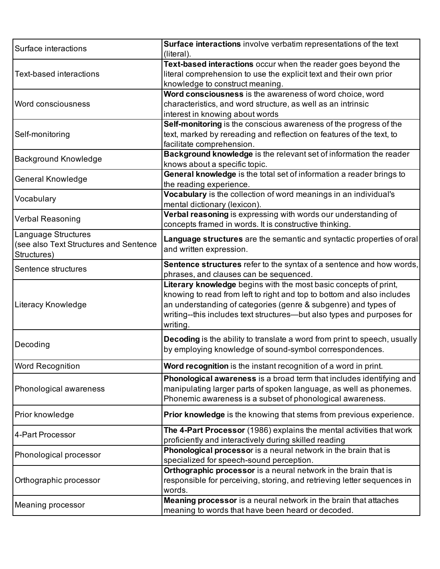| Surface interactions                                                 | Surface interactions involve verbatim representations of the text<br>(literal).  |
|----------------------------------------------------------------------|----------------------------------------------------------------------------------|
|                                                                      | Text-based interactions occur when the reader goes beyond the                    |
| <b>Text-based interactions</b>                                       | literal comprehension to use the explicit text and their own prior               |
|                                                                      | knowledge to construct meaning.                                                  |
|                                                                      | Word consciousness is the awareness of word choice, word                         |
| <b>Word consciousness</b>                                            | characteristics, and word structure, as well as an intrinsic                     |
|                                                                      | interest in knowing about words                                                  |
|                                                                      | Self-monitoring is the conscious awareness of the progress of the                |
| Self-monitoring                                                      | text, marked by rereading and reflection on features of the text, to             |
|                                                                      | facilitate comprehension.                                                        |
| <b>Background Knowledge</b>                                          | Background knowledge is the relevant set of information the reader               |
|                                                                      | knows about a specific topic.                                                    |
|                                                                      | General knowledge is the total set of information a reader brings to             |
| <b>General Knowledge</b>                                             | the reading experience.                                                          |
|                                                                      | Vocabulary is the collection of word meanings in an individual's                 |
| Vocabulary                                                           | mental dictionary (lexicon).                                                     |
|                                                                      | Verbal reasoning is expressing with words our understanding of                   |
| <b>Verbal Reasoning</b>                                              | concepts framed in words. It is constructive thinking.                           |
| Language Structures                                                  |                                                                                  |
| (see also Text Structures and Sentence                               | Language structures are the semantic and syntactic properties of oral            |
| Structures)                                                          | and written expression.                                                          |
|                                                                      | Sentence structures refer to the syntax of a sentence and how words,             |
| Sentence structures                                                  | phrases, and clauses can be sequenced.                                           |
|                                                                      | Literary knowledge begins with the most basic concepts of print,                 |
|                                                                      | knowing to read from left to right and top to bottom and also includes           |
| Literacy Knowledge                                                   | an understanding of categories (genre & subgenre) and types of                   |
|                                                                      | writing--this includes text structures--but also types and purposes for          |
|                                                                      | writing.                                                                         |
|                                                                      |                                                                                  |
|                                                                      |                                                                                  |
| Decoding                                                             | <b>Decoding</b> is the ability to translate a word from print to speech, usually |
|                                                                      | by employing knowledge of sound-symbol correspondences.                          |
|                                                                      | Word recognition is the instant recognition of a word in print.                  |
|                                                                      | Phonological awareness is a broad term that includes identifying and             |
| <b>Word Recognition</b><br>Phonological awareness                    | manipulating larger parts of spoken language, as well as phonemes.               |
|                                                                      |                                                                                  |
|                                                                      | Phonemic awareness is a subset of phonological awareness.                        |
| Prior knowledge                                                      | <b>Prior knowledge</b> is the knowing that stems from previous experience.       |
|                                                                      | The 4-Part Processor (1986) explains the mental activities that work             |
|                                                                      | proficiently and interactively during skilled reading                            |
|                                                                      | Phonological processor is a neural network in the brain that is                  |
|                                                                      | specialized for speech-sound perception.                                         |
|                                                                      | Orthographic processor is a neural network in the brain that is                  |
| 4-Part Processor<br>Phonological processor<br>Orthographic processor | responsible for perceiving, storing, and retrieving letter sequences in          |
|                                                                      | words.                                                                           |
| Meaning processor                                                    | Meaning processor is a neural network in the brain that attaches                 |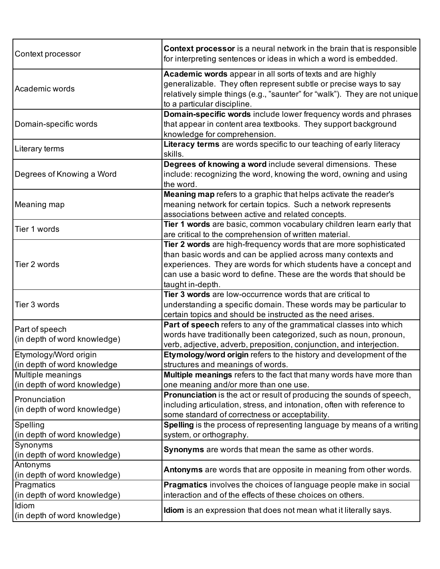| Context processor                                    | Context processor is a neural network in the brain that is responsible<br>for interpreting sentences or ideas in which a word is embedded.                                                                                                                                                       |
|------------------------------------------------------|--------------------------------------------------------------------------------------------------------------------------------------------------------------------------------------------------------------------------------------------------------------------------------------------------|
| Academic words                                       | Academic words appear in all sorts of texts and are highly<br>generalizable. They often represent subtle or precise ways to say<br>relatively simple things (e.g., "saunter" for "walk"). They are not unique<br>to a particular discipline.                                                     |
| Domain-specific words                                | Domain-specific words include lower frequency words and phrases<br>that appear in content area textbooks. They support background<br>knowledge for comprehension.                                                                                                                                |
| Literary terms                                       | Literacy terms are words specific to our teaching of early literacy<br>skills.                                                                                                                                                                                                                   |
| Degrees of Knowing a Word                            | Degrees of knowing a word include several dimensions. These<br>include: recognizing the word, knowing the word, owning and using<br>the word.                                                                                                                                                    |
| Meaning map                                          | Meaning map refers to a graphic that helps activate the reader's<br>meaning network for certain topics. Such a network represents<br>associations between active and related concepts.                                                                                                           |
| Tier 1 words                                         | Tier 1 words are basic, common vocabulary children learn early that<br>are critical to the comprehension of written material.                                                                                                                                                                    |
| Tier 2 words                                         | Tier 2 words are high-frequency words that are more sophisticated<br>than basic words and can be applied across many contexts and<br>experiences. They are words for which students have a concept and<br>can use a basic word to define. These are the words that should be<br>taught in-depth. |
| Tier 3 words                                         | Tier 3 words are low-occurrence words that are critical to<br>understanding a specific domain. These words may be particular to<br>certain topics and should be instructed as the need arises.                                                                                                   |
| Part of speech<br>(in depth of word knowledge)       | Part of speech refers to any of the grammatical classes into which<br>words have traditionally been categorized, such as noun, pronoun,<br>verb, adjective, adverb, preposition, conjunction, and interjection.                                                                                  |
| Etymology/Word origin<br>(in depth of word knowledge | Etymology/word origin refers to the history and development of the<br>structures and meanings of words.                                                                                                                                                                                          |
| Multiple meanings<br>(in depth of word knowledge)    | Multiple meanings refers to the fact that many words have more than<br>one meaning and/or more than one use.                                                                                                                                                                                     |
| Pronunciation<br>(in depth of word knowledge)        | Pronunciation is the act or result of producing the sounds of speech,<br>including articulation, stress, and intonation, often with reference to<br>some standard of correctness or acceptability.                                                                                               |
| Spelling<br>(in depth of word knowledge)             | Spelling is the process of representing language by means of a writing<br>system, or orthography.                                                                                                                                                                                                |
| Synonyms<br>(in depth of word knowledge)             | Synonyms are words that mean the same as other words.                                                                                                                                                                                                                                            |
| Antonyms<br>(in depth of word knowledge)             | Antonyms are words that are opposite in meaning from other words.                                                                                                                                                                                                                                |
| Pragmatics<br>(in depth of word knowledge)           | <b>Pragmatics</b> involves the choices of language people make in social<br>interaction and of the effects of these choices on others.                                                                                                                                                           |
| Idiom<br>(in depth of word knowledge)                | <b>Idiom</b> is an expression that does not mean what it literally says.                                                                                                                                                                                                                         |